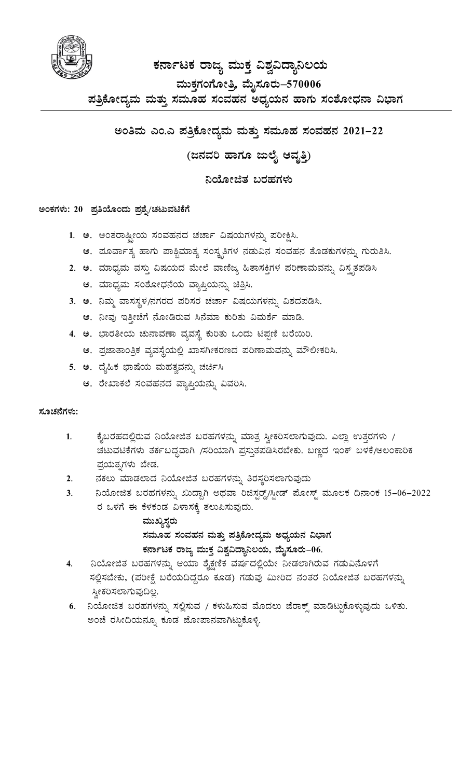

## ಕರ್ನಾಟಕ ರಾಜ್ಯ ಮುಕ್ತ ವಿಶ್ವವಿದ್ಯಾನಿಲಯ ಮುಕ್ತಗಂಗೋತ್ತಿ ಮೈಸೂರು–570006 ಪತ್ರಿಕೋದ್ಯಮ ಮತ್ತು ಸಮೂಹ ಸಂವಹನ ಅಧ್ಯಯನ ಹಾಗು ಸಂಶೋಧನಾ ವಿಭಾಗ

ಅಂತಿಮ ಎಂ.ಎ ಪತ್ರಿಕೋದ್ಯಮ ಮತ್ತು ಸಮೂಹ ಸಂವಹನ 2021–22

(ಜನವರಿ ಹಾಗೂ ಜುಲೈ ಆವೃತ್ತಿ)

ನಿಯೋಜಿತ ಬರಹಗಳು

#### ಅಂಕಗಳು: 20 ಪ್ರತಿಯೊಂದು ಪ್ರಶ್ನೆ/ಚಟುವಟಿಕೆಗೆ

- 1. ಅ. ಅಂತರಾಷ್ತೀಯ ಸಂವಹನದ ಚರ್ಚಾ ವಿಷಯಗಳನ್ನು ಪರೀಕ್ಷಿಸಿ.
	- ಆ. ಪೂರ್ವಾತ್ಯ ಹಾಗು ಪಾಶ್ಚಿಮಾತ್ಯ ಸಂಸ್ಕೃತಿಗಳ ನಡುವಿನ ಸಂವಹನ ತೊಡಕುಗಳನ್ನು ಗುರುತಿಸಿ.
- 2. ಅ. ಮಾಧ್ಯಮ ವಸ್ತು ವಿಷಯದ ಮೇಲೆ ವಾಣಿಜ್ಯ ಹಿತಾಸಕ್ತಿಗಳ ಪರಿಣಾಮವನ್ನು ವಿಸ್ತೃತಪಡಿಸಿ
	- ಆ. ಮಾಧ್ಯಮ ಸಂಶೋಧನೆಯ ವ್ಯಾಪ್ತಿಯನ್ನು ಚಿತ್ರಿಸಿ.
- 3. ಅ. ನಿಮ್ಮ ವಾಸಸ್ಥಳ/ನಗರದ ಪರಿಸರ ಚರ್ಚಾ ವಿಷಯಗಳನ್ನು ವಿಶದಪಡಿಸಿ.
	- ಆ. ನೀವು ಇತ್ತೀಚೆಗೆ ನೋಡಿರುವ ಸಿನೆಮಾ ಕುರಿತು ವಿಮರ್ಶೆ ಮಾಡಿ.
- 4. ಅ. ಭಾರತೀಯ ಚುನಾವಣಾ ವ್ಯವಸ್ಥೆ ಕುರಿತು ಒಂದು ಟಿಪ್ಪಣಿ ಬರೆಯಿರಿ.
	- ಆ. ಪ್ರಜಾತಾಂತ್ರಿಕ ವ್ಯವಸ್ಥೆಯಲ್ಲಿ ಖಾಸಗೀಕರಣದ ಪರಿಣಾಮವನ್ನು ಮೌಲೀಕರಿಸಿ.
- 5. ಅ. ದೈಹಿಕ ಭಾಷೆಯ ಮಹತ್ವವನ್ನು ಚರ್ಚಿಸಿ
	- ಆ. ರೇಖಾಕಲೆ ಸಂವಹನದ ವ್ಯಾಪ್ತಿಯನ್ನು ವಿವರಿಸಿ.

#### ಸೂಚನೆಗಳು:

- $1.$ ಕೈಬರಹದಲ್ಲಿರುವ ನಿಯೋಜಿತ ಬರಹಗಳನ್ನು ಮಾತ್ರ ಸ್ವೀಕರಿಸಲಾಗುವುದು. ಎಲ್ಲಾ ಉತ್ತರಗಳು / ಚಟುವಟಿಕೆಗಳು ತರ್ಕಬದ್ಧವಾಗಿ /ಸರಿಯಾಗಿ ಪ್ರಸ್ತುತಪಡಿಸಿರಬೇಕು. ಬಣ್ಣದ ಇಂಕ್ ಬಳಕೆ/ಅಲಂಕಾರಿಕ ಪ್ರಯತ್ನಗಳು ಬೇಡ.
- ನಕಲು ಮಾಡಲಾದ ನಿಯೋಜಿತ ಬರಹಗಳನ್ನು ತಿರಸ್ತರಿಸಲಾಗುವುದು  $2.$
- ನಿಯೋಜಿತ ಬರಹಗಳನ್ನು ಖುದ್ದಾಗಿ ಅಥವಾ ರಿಜಿಸ್ಟರ್ಡ್ಡ್/ಸ್ಪೀಡ್ ಮೋಸ್ಟ್ ಮೂಲಕ ದಿನಾಂಕ 15–06–2022  $3<sub>1</sub>$ ರ ಒಳಗೆ ಈ ಕೆಳಕಂಡ ವಿಳಾಸಕ್ಕೆ ತಲುಪಿಸುವುದು.
	- ಮುಖ್ಯಸ್ಥರು ಸಮೂಹ ಸಂವಹನ ಮತ್ತು ಪತ್ರಿಕೋದ್ಯಮ ಅಧ್ಯಯನ ವಿಭಾಗ ಕರ್ನಾಟಕ ರಾಜ್ಯ ಮುಕ್ತ ವಿಶ್ವವಿದ್ಯಾನಿಲಯ, ಮೈಸೂರು–06.
- ನಿಯೋಜಿತ ಬರಹಗಳನ್ನು ಆಯಾ ಶೈಕ್ಷಣಿಕ ವರ್ಷದಲ್ಲಿಯೇ ನೀಡಲಾಗಿರುವ ಗಡುವಿನೊಳಗೆ 4. ಸಲ್ಲಿಸಬೇಕು, (ಪರೀಕ್ಷೆ ಬರೆಯದಿದ್ದರೂ ಕೂಡ) ಗಡುವು ಮೀರಿದ ನಂತರ ನಿಯೋಜಿತ ಬರಹಗಳನ್ನು ಸ್ತೀಕರಿಸಲಾಗುವುದಿಲ್ಲ.
- 6. ನಿಯೋಜಿತ ಬರಹಗಳನ್ನು ಸಲ್ಲಿಸುವ / ಕಳುಹಿಸುವ ಮೊದಲು ಜೆರಾಕ್ಸ್ ಮಾಡಿಟ್ಟುಕೊಳ್ಳುವುದು ಒಳಿತು. ಅಂಚೆ ರಸೀದಿಯನ್ನೂ ಕೂಡ ಜೋಪಾನವಾಗಿಟ್ಟುಕೊಳ್ಳಿ.